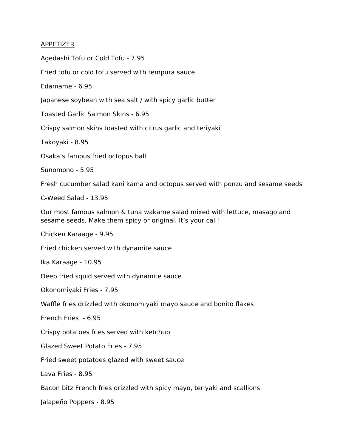## APPETIZER

Agedashi Tofu or Cold Tofu - 7.95

Fried tofu or cold tofu served with tempura sauce

Edamame - 6.95

Japanese soybean with sea salt / with spicy garlic butter

Toasted Garlic Salmon Skins - 6.95

Crispy salmon skins toasted with citrus garlic and teriyaki

Takoyaki - 8.95

Osaka's famous fried octopus ball

Sunomono - 5.95

Fresh cucumber salad kani kama and octopus served with ponzu and sesame seeds

C-Weed Salad - 13.95

Our most famous salmon & tuna wakame salad mixed with lettuce, masago and sesame seeds. Make them spicy or original. It's your call!

Chicken Karaage - 9.95

Fried chicken served with dynamite sauce

Ika Karaage - 10.95

Deep fried squid served with dynamite sauce

Okonomiyaki Fries - 7.95

Waffle fries drizzled with okonomiyaki mayo sauce and bonito flakes

French Fries - 6.95

Crispy potatoes fries served with ketchup

Glazed Sweet Potato Fries - 7.95

Fried sweet potatoes glazed with sweet sauce

Lava Fries - 8.95

Bacon bitz French fries drizzled with spicy mayo, teriyaki and scallions

Jalapeño Poppers - 8.95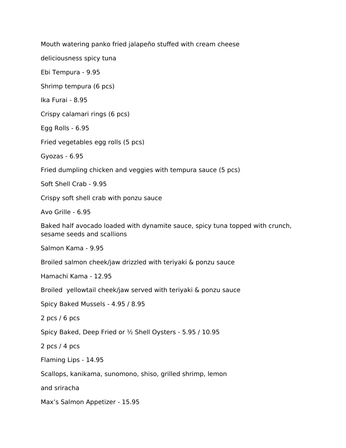Mouth watering panko fried jalapeño stuffed with cream cheese

deliciousness spicy tuna

Ebi Tempura - 9.95

Shrimp tempura (6 pcs)

Ika Furai - 8.95

Crispy calamari rings (6 pcs)

Egg Rolls - 6.95

Fried vegetables egg rolls (5 pcs)

Gyozas - 6.95

Fried dumpling chicken and veggies with tempura sauce (5 pcs)

Soft Shell Crab - 9.95

Crispy soft shell crab with ponzu sauce

Avo Grille - 6.95

Baked half avocado loaded with dynamite sauce, spicy tuna topped with crunch, sesame seeds and scallions

Salmon Kama - 9.95

Broiled salmon cheek/jaw drizzled with teriyaki & ponzu sauce

Hamachi Kama - 12.95

Broiled yellowtail cheek/jaw served with teriyaki & ponzu sauce

Spicy Baked Mussels - 4.95 / 8.95

2 pcs / 6 pcs

Spicy Baked, Deep Fried or ½ Shell Oysters - 5.95 / 10.95

2 pcs / 4 pcs

Flaming Lips - 14.95

Scallops, kanikama, sunomono, shiso, grilled shrimp, lemon

and sriracha

Max's Salmon Appetizer - 15.95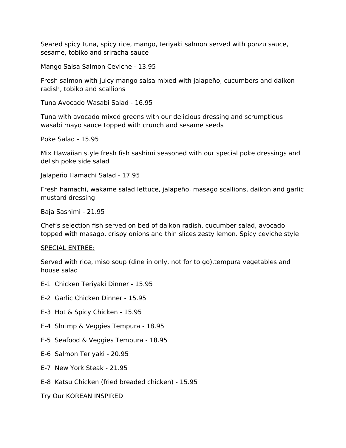Seared spicy tuna, spicy rice, mango, teriyaki salmon served with ponzu sauce, sesame, tobiko and sriracha sauce

Mango Salsa Salmon Ceviche - 13.95

Fresh salmon with juicy mango salsa mixed with jalapeño, cucumbers and daikon radish, tobiko and scallions

Tuna Avocado Wasabi Salad - 16.95

Tuna with avocado mixed greens with our delicious dressing and scrumptious wasabi mayo sauce topped with crunch and sesame seeds

Poke Salad - 15.95

Mix Hawaiian style fresh fish sashimi seasoned with our special poke dressings and delish poke side salad

Jalapeño Hamachi Salad - 17.95

Fresh hamachi, wakame salad lettuce, jalapeño, masago scallions, daikon and garlic mustard dressing

Baja Sashimi - 21.95

Chef's selection fish served on bed of daikon radish, cucumber salad, avocado topped with masago, crispy onions and thin slices zesty lemon. Spicy ceviche style

#### SPECIAL ENTRÉE:

Served with rice, miso soup (dine in only, not for to go),tempura vegetables and house salad

- E-1 Chicken Teriyaki Dinner 15.95
- E-2 Garlic Chicken Dinner 15.95
- E-3 Hot & Spicy Chicken 15.95
- E-4 Shrimp & Veggies Tempura 18.95
- E-5 Seafood & Veggies Tempura 18.95
- E-6 Salmon Teriyaki 20.95
- E-7 New York Steak 21.95
- E-8 Katsu Chicken (fried breaded chicken) 15.95

Try Our KOREAN INSPIRED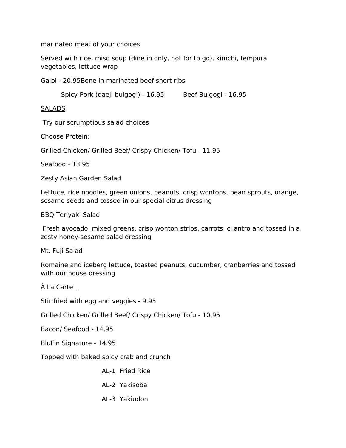marinated meat of your choices

Served with rice, miso soup (dine in only, not for to go), kimchi, tempura vegetables, lettuce wrap

Galbi - 20.95Bone in marinated beef short ribs

Spicy Pork (daeji bulgogi) - 16.95 Beef Bulgogi - 16.95

**SALADS** 

Try our scrumptious salad choices

Choose Protein:

Grilled Chicken/ Grilled Beef/ Crispy Chicken/ Tofu - 11.95

Seafood - 13.95

Zesty Asian Garden Salad

Lettuce, rice noodles, green onions, peanuts, crisp wontons, bean sprouts, orange, sesame seeds and tossed in our special citrus dressing

BBQ Teriyaki Salad

 Fresh avocado, mixed greens, crisp wonton strips, carrots, cilantro and tossed in a zesty honey-sesame salad dressing

Mt. Fuji Salad

Romaine and iceberg lettuce, toasted peanuts, cucumber, cranberries and tossed with our house dressing

À La Carte

Stir fried with egg and veggies - 9.95

Grilled Chicken/ Grilled Beef/ Crispy Chicken/ Tofu - 10.95

Bacon/ Seafood - 14.95

BluFin Signature - 14.95

Topped with baked spicy crab and crunch

AL-1 Fried Rice

AL-2 Yakisoba

AL-3 Yakiudon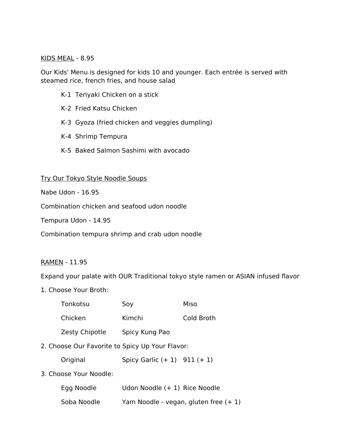## KIDS MEAL - 8.95

Our Kids' Menu is designed for kids 10 and younger. Each entrée is served with steamed rice, french fries, and house salad

- K-1 Teriyaki Chicken on a stick
- K-2 Fried Katsu Chicken
- K-3 Gyoza (fried chicken and veggies dumpling)
- K-4 Shrimp Tempura
- K-5 Baked Salmon Sashimi with avocado

## Try Our Tokyo Style Noodle Soups

Nabe Udon - 16.95

Combination chicken and seafood udon noodle

Tempura Udon - 14.95

Combination tempura shrimp and crab udon noodle

## RAMEN - 11.95

Expand your palate with OUR Traditional tokyo style ramen or ASIAN infused flavor

1. Choose Your Broth:

|                                                 | Tonkotsu       | Soy                            | Miso                                   |
|-------------------------------------------------|----------------|--------------------------------|----------------------------------------|
|                                                 | Chicken        | Kimchi                         | Cold Broth                             |
|                                                 | Zesty Chipotle | Spicy Kung Pao                 |                                        |
| 2. Choose Our Favorite to Spicy Up Your Flavor: |                |                                |                                        |
|                                                 | Original       | Spicy Garlic $(+1)$ 911 $(+1)$ |                                        |
| 3. Choose Your Noodle:                          |                |                                |                                        |
|                                                 | Egg Noodle     | Udon Noodle (+ 1) Rice Noodle  |                                        |
|                                                 | Soba Noodle    |                                | Yam Noodle - vegan, gluten free $(+1)$ |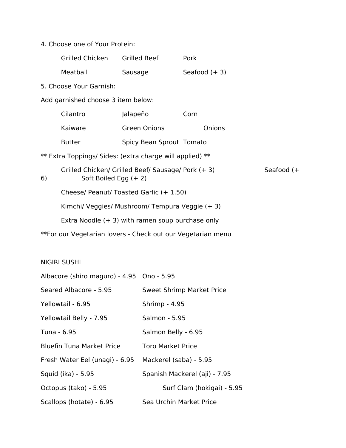# 4. Choose one of Your Protein:

|                                                   | Grilled Chicken                                                               | Grilled Beef                                                | Pork |                 |  |
|---------------------------------------------------|-------------------------------------------------------------------------------|-------------------------------------------------------------|------|-----------------|--|
|                                                   | Meatball                                                                      | Sausage                                                     |      | Seafood $(+ 3)$ |  |
|                                                   | 5. Choose Your Garnish:                                                       |                                                             |      |                 |  |
|                                                   | Add garnished choose 3 item below:                                            |                                                             |      |                 |  |
|                                                   | Cilantro                                                                      | Jalapeño                                                    | Corn |                 |  |
|                                                   | Kaiware                                                                       | <b>Green Onions</b>                                         |      | Onions          |  |
|                                                   | <b>Butter</b>                                                                 | Spicy Bean Sprout Tomato                                    |      |                 |  |
|                                                   |                                                                               | ** Extra Toppings/ Sides: (extra charge will applied) **    |      |                 |  |
| 6)                                                | Grilled Chicken/ Grilled Beef/ Sausage/ Pork (+ 3)<br>Soft Boiled Egg $(+ 2)$ |                                                             |      | Seafood $(+$    |  |
|                                                   |                                                                               | Cheese/ Peanut/ Toasted Garlic (+ 1.50)                     |      |                 |  |
|                                                   | Kimchi/ Veggies/ Mushroom/ Tempura Veggie (+ 3)                               |                                                             |      |                 |  |
| Extra Noodle $(+3)$ with ramen soup purchase only |                                                                               |                                                             |      |                 |  |
|                                                   |                                                                               | **For our Vegetarian lovers - Check out our Vegetarian menu |      |                 |  |

# NIGIRI SUSHI

| Albacore (shiro maguro) - 4.95 Ono - 5.95 |                                  |
|-------------------------------------------|----------------------------------|
| Seared Albacore - 5.95                    | <b>Sweet Shrimp Market Price</b> |
| Yellowtail - 6.95                         | Shrimp - 4.95                    |
| Yellowtail Belly - 7.95                   | Salmon - 5.95                    |
| Tuna - 6.95                               | Salmon Belly - 6.95              |
| <b>Bluefin Tuna Market Price</b>          | <b>Toro Market Price</b>         |
| Fresh Water Eel (unagi) - 6.95            | Mackerel (saba) - 5.95           |
| Squid (ika) - 5.95                        | Spanish Mackerel (aji) - 7.95    |
| Octopus (tako) - 5.95                     | Surf Clam (hokigai) - 5.95       |
| Scallops (hotate) - 6.95                  | Sea Urchin Market Price          |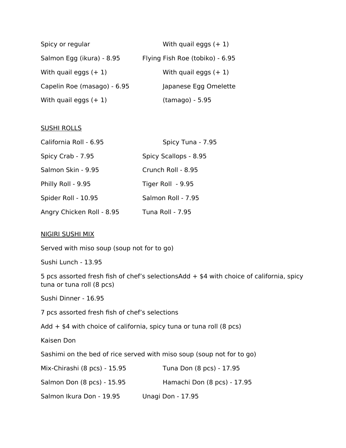| Spicy or regular            | With quail eggs $(+1)$          |
|-----------------------------|---------------------------------|
| Salmon Egg (ikura) - 8.95   | Flying Fish Roe (tobiko) - 6.95 |
| With quail eggs $(+1)$      | With quail eggs $(+1)$          |
| Capelin Roe (masago) - 6.95 | Japanese Egg Omelette           |
| With quail eggs $(+1)$      | (tamago) - 5.95                 |

## SUSHI ROLLS

| California Roll - 6.95    | Spicy Tuna - 7.95       |  |
|---------------------------|-------------------------|--|
| Spicy Crab - 7.95         | Spicy Scallops - 8.95   |  |
| Salmon Skin - 9.95        | Crunch Roll - 8.95      |  |
| Philly Roll - 9.95        | Tiger Roll - 9.95       |  |
| Spider Roll - 10.95       | Salmon Roll - 7.95      |  |
| Angry Chicken Roll - 8.95 | <b>Tuna Roll - 7.95</b> |  |

## NIGIRI SUSHI MIX

Served with miso soup (soup not for to go)

Sushi Lunch - 13.95

5 pcs assorted fresh fish of chef's selectionsAdd  $+$  \$4 with choice of california, spicy tuna or tuna roll (8 pcs)

Sushi Dinner - 16.95

7 pcs assorted fresh fish of chef's selections

Add  $+$  \$4 with choice of california, spicy tuna or tuna roll (8 pcs)

Kaisen Don

Sashimi on the bed of rice served with miso soup (soup not for to go)

| Mix-Chirashi (8 pcs) - 15.95 | Tuna Don (8 pcs) - 17.95    |
|------------------------------|-----------------------------|
| Salmon Don (8 pcs) - 15.95   | Hamachi Don (8 pcs) - 17.95 |
| Salmon Ikura Don - 19.95     | Unagi Don - 17.95           |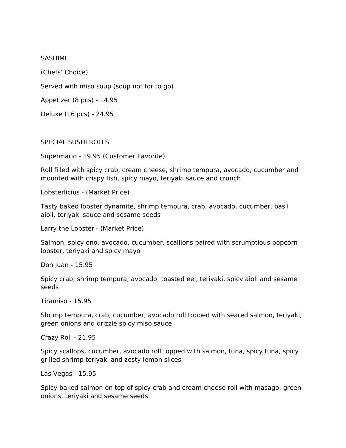### **SASHIMI**

(Chefs' Choice) Served with miso soup (soup not for to go) Appetizer (8 pcs) - 14.95 Deluxe (16 pcs) - 24.95

## SPECIAL SUSHI ROLLS

Supermario - 19.95 (Customer Favorite)

Roll filled with spicy crab, cream cheese, shrimp tempura, avocado, cucumber and mounted with crispy fish, spicy mayo, teriyaki sauce and crunch

Lobsterlicius - (Market Price)

Tasty baked lobster dynamite, shrimp tempura, crab, avocado, cucumber, basil aioli, teriyaki sauce and sesame seeds

Larry the Lobster - (Market Price)

Salmon, spicy ono, avocado, cucumber, scallions paired with scrumptious popcorn lobster, teriyaki and spicy mayo

Don Juan - 15.95

Spicy crab, shrimp tempura, avocado, toasted eel, teriyaki, spicy aioli and sesame seeds

Tiramiso - 15.95

Shrimp tempura, crab, cucumber, avocado roll topped with seared salmon, teriyaki, green onions and drizzle spicy miso sauce

Crazy Roll - 21.95

Spicy scallops, cucumber, avocado roll topped with salmon, tuna, spicy tuna, spicy grilled shrimp teriyaki and zesty lemon slices

Las Vegas - 15.95

Spicy baked salmon on top of spicy crab and cream cheese roll with masago, green onions, teriyaki and sesame seeds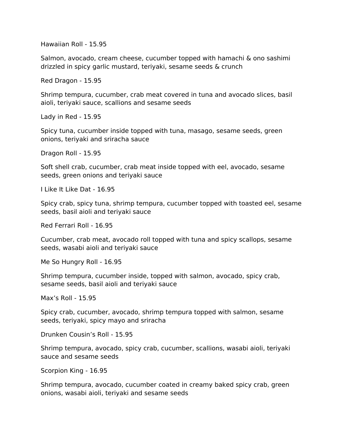Hawaiian Roll - 15.95

Salmon, avocado, cream cheese, cucumber topped with hamachi & ono sashimi drizzled in spicy garlic mustard, teriyaki, sesame seeds & crunch

Red Dragon - 15.95

Shrimp tempura, cucumber, crab meat covered in tuna and avocado slices, basil aioli, teriyaki sauce, scallions and sesame seeds

Lady in Red - 15.95

Spicy tuna, cucumber inside topped with tuna, masago, sesame seeds, green onions, teriyaki and sriracha sauce

Dragon Roll - 15.95

Soft shell crab, cucumber, crab meat inside topped with eel, avocado, sesame seeds, green onions and teriyaki sauce

I Like It Like Dat - 16.95

Spicy crab, spicy tuna, shrimp tempura, cucumber topped with toasted eel, sesame seeds, basil aioli and teriyaki sauce

Red Ferrari Roll - 16.95

Cucumber, crab meat, avocado roll topped with tuna and spicy scallops, sesame seeds, wasabi aioli and teriyaki sauce

Me So Hungry Roll - 16.95

Shrimp tempura, cucumber inside, topped with salmon, avocado, spicy crab, sesame seeds, basil aioli and teriyaki sauce

Max's Roll - 15.95

Spicy crab, cucumber, avocado, shrimp tempura topped with salmon, sesame seeds, teriyaki, spicy mayo and sriracha

Drunken Cousin's Roll - 15.95

Shrimp tempura, avocado, spicy crab, cucumber, scallions, wasabi aioli, teriyaki sauce and sesame seeds

Scorpion King - 16.95

Shrimp tempura, avocado, cucumber coated in creamy baked spicy crab, green onions, wasabi aioli, teriyaki and sesame seeds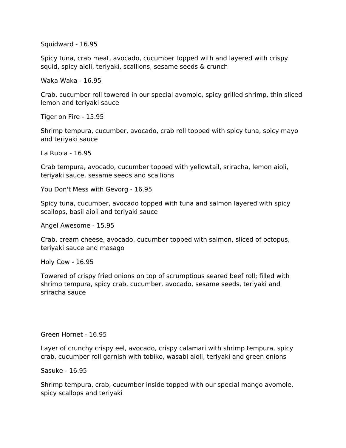Squidward - 16.95

Spicy tuna, crab meat, avocado, cucumber topped with and layered with crispy squid, spicy aioli, teriyaki, scallions, sesame seeds & crunch

Waka Waka - 16.95

Crab, cucumber roll towered in our special avomole, spicy grilled shrimp, thin sliced lemon and teriyaki sauce

Tiger on Fire - 15.95

Shrimp tempura, cucumber, avocado, crab roll topped with spicy tuna, spicy mayo and teriyaki sauce

La Rubia - 16.95

Crab tempura, avocado, cucumber topped with yellowtail, sriracha, lemon aioli, teriyaki sauce, sesame seeds and scallions

You Don't Mess with Gevorg - 16.95

Spicy tuna, cucumber, avocado topped with tuna and salmon layered with spicy scallops, basil aioli and teriyaki sauce

Angel Awesome - 15.95

Crab, cream cheese, avocado, cucumber topped with salmon, sliced of octopus, teriyaki sauce and masago

Holy Cow - 16.95

Towered of crispy fried onions on top of scrumptious seared beef roll; filled with shrimp tempura, spicy crab, cucumber, avocado, sesame seeds, teriyaki and sriracha sauce

Green Hornet - 16.95

Layer of crunchy crispy eel, avocado, crispy calamari with shrimp tempura, spicy crab, cucumber roll garnish with tobiko, wasabi aioli, teriyaki and green onions

Sasuke - 16.95

Shrimp tempura, crab, cucumber inside topped with our special mango avomole, spicy scallops and teriyaki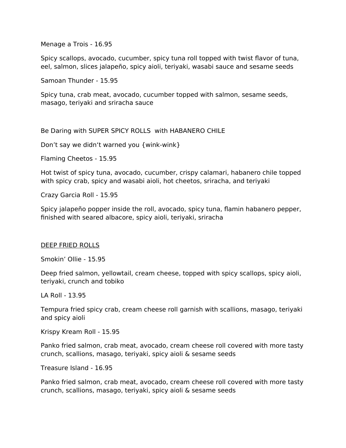Menage a Trois - 16.95

Spicy scallops, avocado, cucumber, spicy tuna roll topped with twist flavor of tuna, eel, salmon, slices jalapeño, spicy aioli, teriyaki, wasabi sauce and sesame seeds

Samoan Thunder - 15.95

Spicy tuna, crab meat, avocado, cucumber topped with salmon, sesame seeds, masago, teriyaki and sriracha sauce

Be Daring with SUPER SPICY ROLLS with HABANERO CHILE

Don't say we didn't warned you {wink-wink}

Flaming Cheetos - 15.95

Hot twist of spicy tuna, avocado, cucumber, crispy calamari, habanero chile topped with spicy crab, spicy and wasabi aioli, hot cheetos, sriracha, and teriyaki

Crazy Garcia Roll - 15.95

Spicy jalapeño popper inside the roll, avocado, spicy tuna, flamin habanero pepper, finished with seared albacore, spicy aioli, teriyaki, sriracha

#### DEEP FRIED ROLLS

Smokin' Ollie - 15.95

Deep fried salmon, yellowtail, cream cheese, topped with spicy scallops, spicy aioli, teriyaki, crunch and tobiko

LA Roll - 13.95

Tempura fried spicy crab, cream cheese roll garnish with scallions, masago, teriyaki and spicy aioli

Krispy Kream Roll - 15.95

Panko fried salmon, crab meat, avocado, cream cheese roll covered with more tasty crunch, scallions, masago, teriyaki, spicy aioli & sesame seeds

Treasure Island - 16.95

Panko fried salmon, crab meat, avocado, cream cheese roll covered with more tasty crunch, scallions, masago, teriyaki, spicy aioli & sesame seeds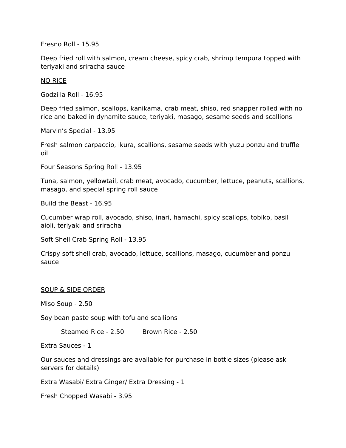Fresno Roll - 15.95

Deep fried roll with salmon, cream cheese, spicy crab, shrimp tempura topped with teriyaki and sriracha sauce

#### NO RICE

Godzilla Roll - 16.95

Deep fried salmon, scallops, kanikama, crab meat, shiso, red snapper rolled with no rice and baked in dynamite sauce, teriyaki, masago, sesame seeds and scallions

Marvin's Special - 13.95

Fresh salmon carpaccio, ikura, scallions, sesame seeds with yuzu ponzu and truffle oil

Four Seasons Spring Roll - 13.95

Tuna, salmon, yellowtail, crab meat, avocado, cucumber, lettuce, peanuts, scallions, masago, and special spring roll sauce

Build the Beast - 16.95

Cucumber wrap roll, avocado, shiso, inari, hamachi, spicy scallops, tobiko, basil aioli, teriyaki and sriracha

Soft Shell Crab Spring Roll - 13.95

Crispy soft shell crab, avocado, lettuce, scallions, masago, cucumber and ponzu sauce

#### SOUP & SIDE ORDER

Miso Soup - 2.50

Soy bean paste soup with tofu and scallions

Steamed Rice - 2.50 Brown Rice - 2.50

Extra Sauces - 1

Our sauces and dressings are available for purchase in bottle sizes (please ask servers for details)

Extra Wasabi/ Extra Ginger/ Extra Dressing - 1

Fresh Chopped Wasabi - 3.95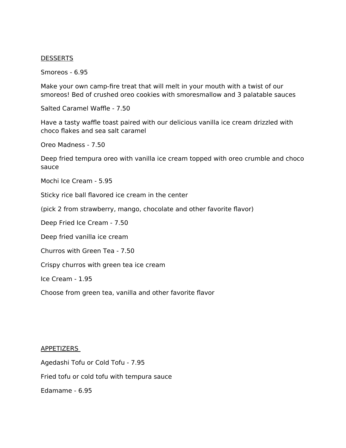#### **DESSERTS**

Smoreos - 6.95

Make your own camp-fire treat that will melt in your mouth with a twist of our smoreos! Bed of crushed oreo cookies with smoresmallow and 3 palatable sauces

Salted Caramel Waffle - 7.50

Have a tasty waffle toast paired with our delicious vanilla ice cream drizzled with choco flakes and sea salt caramel

Oreo Madness - 7.50

Deep fried tempura oreo with vanilla ice cream topped with oreo crumble and choco sauce

Mochi Ice Cream - 5.95

Sticky rice ball flavored ice cream in the center

(pick 2 from strawberry, mango, chocolate and other favorite flavor)

Deep Fried Ice Cream - 7.50

Deep fried vanilla ice cream

Churros with Green Tea - 7.50

Crispy churros with green tea ice cream

Ice Cream - 1.95

Choose from green tea, vanilla and other favorite flavor

## APPETIZERS

Agedashi Tofu or Cold Tofu - 7.95 Fried tofu or cold tofu with tempura sauce Edamame - 6.95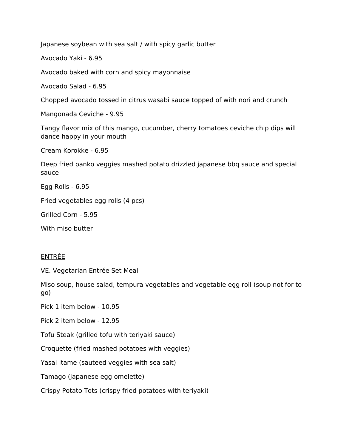Japanese soybean with sea salt / with spicy garlic butter

Avocado Yaki - 6.95

Avocado baked with corn and spicy mayonnaise

Avocado Salad - 6.95

Chopped avocado tossed in citrus wasabi sauce topped of with nori and crunch

Mangonada Ceviche - 9.95

Tangy flavor mix of this mango, cucumber, cherry tomatoes ceviche chip dips will dance happy in your mouth

Cream Korokke - 6.95

Deep fried panko veggies mashed potato drizzled japanese bbq sauce and special sauce

Egg Rolls - 6.95

Fried vegetables egg rolls (4 pcs)

Grilled Corn - 5.95

With miso butter

## ENTRÉE

VE. Vegetarian Entrée Set Meal

Miso soup, house salad, tempura vegetables and vegetable egg roll (soup not for to go)

Pick 1 item below - 10.95

Pick 2 item below - 12.95

Tofu Steak (grilled tofu with teriyaki sauce)

Croquette (fried mashed potatoes with veggies)

Yasai Itame (sauteed veggies with sea salt)

Tamago (japanese egg omelette)

Crispy Potato Tots (crispy fried potatoes with teriyaki)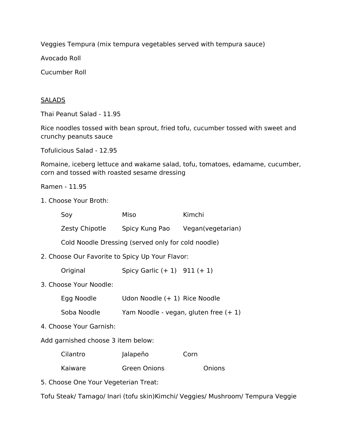Veggies Tempura (mix tempura vegetables served with tempura sauce)

Avocado Roll

Cucumber Roll

## **SALADS**

Thai Peanut Salad - 11.95

Rice noodles tossed with bean sprout, fried tofu, cucumber tossed with sweet and crunchy peanuts sauce

Tofulicious Salad - 12.95

Romaine, iceberg lettuce and wakame salad, tofu, tomatoes, edamame, cucumber, corn and tossed with roasted sesame dressing

Ramen - 11.95

1. Choose Your Broth:

| Soy            | Miso           | Kimchi            |
|----------------|----------------|-------------------|
| Zesty Chipotle | Spicy Kung Pao | Vegan(vegetarian) |

Cold Noodle Dressing (served only for cold noodle)

2. Choose Our Favorite to Spicy Up Your Flavor:

Original Spicy Garlic (+ 1) 911 (+ 1)

3. Choose Your Noodle:

| Egg Noodle | Udon Noodle (+ 1) Rice Noodle |  |
|------------|-------------------------------|--|
|            |                               |  |

- Soba Noodle Yam Noodle vegan, gluten free (+ 1)
- 4. Choose Your Garnish:

Add garnished choose 3 item below:

| Cilantro | Jalapeño     | Corn   |
|----------|--------------|--------|
| Kaiware  | Green Onions | Onions |

5. Choose One Your Vegeterian Treat:

Tofu Steak/ Tamago/ Inari (tofu skin)Kimchi/ Veggies/ Mushroom/ Tempura Veggie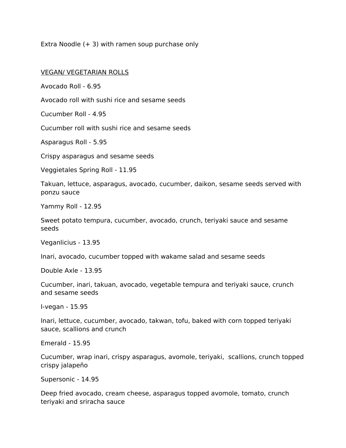Extra Noodle  $(+ 3)$  with ramen soup purchase only

## VEGAN/ VEGETARIAN ROLLS

Avocado Roll - 6.95

Avocado roll with sushi rice and sesame seeds

Cucumber Roll - 4.95

Cucumber roll with sushi rice and sesame seeds

Asparagus Roll - 5.95

Crispy asparagus and sesame seeds

Veggietales Spring Roll - 11.95

Takuan, lettuce, asparagus, avocado, cucumber, daikon, sesame seeds served with ponzu sauce

Yammy Roll - 12.95

Sweet potato tempura, cucumber, avocado, crunch, teriyaki sauce and sesame seeds

Veganlicius - 13.95

Inari, avocado, cucumber topped with wakame salad and sesame seeds

Double Axle - 13.95

Cucumber, inari, takuan, avocado, vegetable tempura and teriyaki sauce, crunch and sesame seeds

I-vegan - 15.95

Inari, lettuce, cucumber, avocado, takwan, tofu, baked with corn topped teriyaki sauce, scallions and crunch

Emerald - 15.95

Cucumber, wrap inari, crispy asparagus, avomole, teriyaki, scallions, crunch topped crispy jalapeño

Supersonic - 14.95

Deep fried avocado, cream cheese, asparagus topped avomole, tomato, crunch teriyaki and sriracha sauce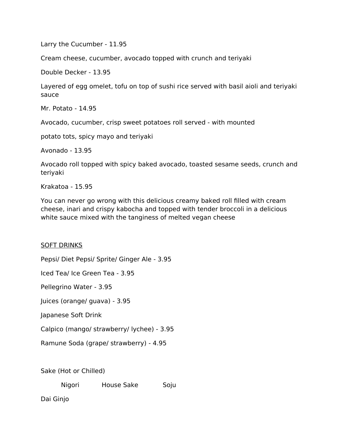Larry the Cucumber - 11.95

Cream cheese, cucumber, avocado topped with crunch and teriyaki

Double Decker - 13.95

Layered of egg omelet, tofu on top of sushi rice served with basil aioli and teriyaki sauce

Mr. Potato - 14.95

Avocado, cucumber, crisp sweet potatoes roll served - with mounted

potato tots, spicy mayo and teriyaki

Avonado - 13.95

Avocado roll topped with spicy baked avocado, toasted sesame seeds, crunch and teriyaki

Krakatoa - 15.95

You can never go wrong with this delicious creamy baked roll filled with cream cheese, inari and crispy kabocha and topped with tender broccoli in a delicious white sauce mixed with the tanginess of melted vegan cheese

## SOFT DRINKS

Pepsi/ Diet Pepsi/ Sprite/ Ginger Ale - 3.95

Iced Tea/ Ice Green Tea - 3.95

Pellegrino Water - 3.95

Juices (orange/ guava) - 3.95

Japanese Soft Drink

Calpico (mango/ strawberry/ lychee) - 3.95

Ramune Soda (grape/ strawberry) - 4.95

Sake (Hot or Chilled)

Nigori House Sake Soju

Dai Ginjo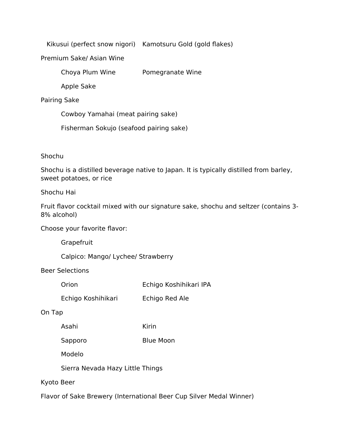Kikusui (perfect snow nigori) Kamotsuru Gold (gold flakes)

Premium Sake/ Asian Wine

Choya Plum Wine Pomegranate Wine

Apple Sake

## Pairing Sake

Cowboy Yamahai (meat pairing sake)

Fisherman Sokujo (seafood pairing sake)

## Shochu

Shochu is a distilled beverage native to Japan. It is typically distilled from barley, sweet potatoes, or rice

## Shochu Hai

Fruit flavor cocktail mixed with our signature sake, shochu and seltzer (contains 3- 8% alcohol)

Choose your favorite flavor:

**Grapefruit** 

Calpico: Mango/ Lychee/ Strawberry

Beer Selections

| Orion | Echigo Koshihikari IPA |
|-------|------------------------|
|-------|------------------------|

Echigo Koshihikari Echigo Red Ale

## On Tap

Asahi Kirin

Sapporo Blue Moon

Modelo

Sierra Nevada Hazy Little Things

## Kyoto Beer

Flavor of Sake Brewery (International Beer Cup Silver Medal Winner)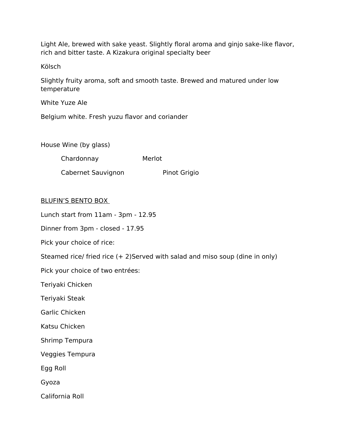Light Ale, brewed with sake yeast. Slightly floral aroma and ginjo sake-like flavor, rich and bitter taste. A Kizakura original specialty beer

Kölsch

Slightly fruity aroma, soft and smooth taste. Brewed and matured under low temperature

White Yuze Ale

Belgium white. Fresh yuzu flavor and coriander

House Wine (by glass)

Chardonnay Merlot

Cabernet Sauvignon Pinot Grigio

## BLUFIN'S BENTO BOX

Lunch start from 11am - 3pm - 12.95

Dinner from 3pm - closed - 17.95

Pick your choice of rice:

Steamed rice/ fried rice (+ 2)Served with salad and miso soup (dine in only)

Pick your choice of two entrées:

Teriyaki Chicken

Teriyaki Steak

Garlic Chicken

Katsu Chicken

Shrimp Tempura

Veggies Tempura

Egg Roll

Gyoza

California Roll